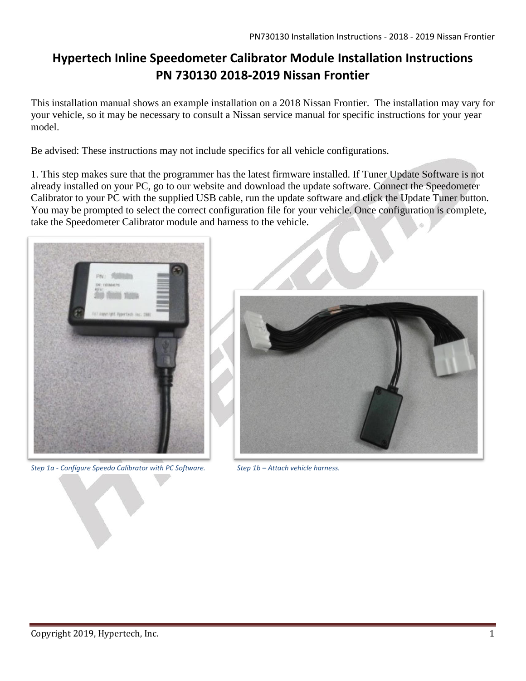## **Hypertech Inline Speedometer Calibrator Module Installation Instructions PN 730130 2018-2019 Nissan Frontier**

This installation manual shows an example installation on a 2018 Nissan Frontier. The installation may vary for your vehicle, so it may be necessary to consult a Nissan service manual for specific instructions for your year model.

Be advised: These instructions may not include specifics for all vehicle configurations.

1. This step makes sure that the programmer has the latest firmware installed. If Tuner Update Software is not already installed on your PC, go to our website and download the update software. Connect the Speedometer Calibrator to your PC with the supplied USB cable, run the update software and click the Update Tuner button. You may be prompted to select the correct configuration file for your vehicle. Once configuration is complete, take the Speedometer Calibrator module and harness to the vehicle.



*Step 1a - Configure Speedo Calibrator with PC Software. Step 1b – Attach vehicle harness.*

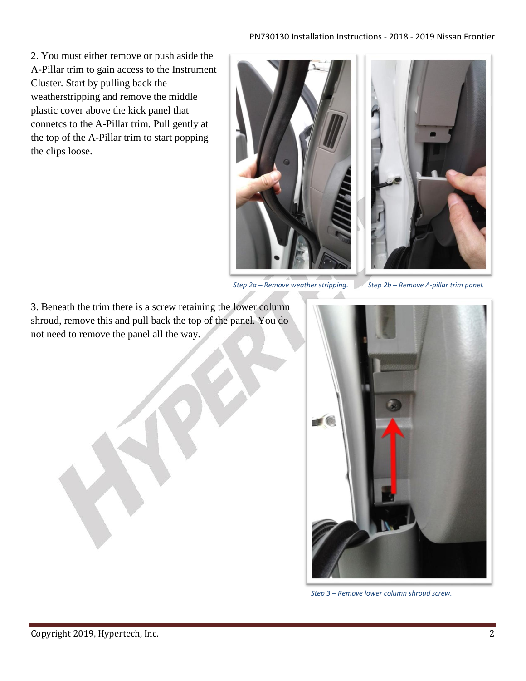## PN730130 Installation Instructions - 2018 - 2019 Nissan Frontier

2. You must either remove or push aside the A-Pillar trim to gain access to the Instrument Cluster. Start by pulling back the weatherstripping and remove the middle plastic cover above the kick panel that connetcs to the A-Pillar trim. Pull gently at the top of the A-Pillar trim to start popping the clips loose.



*Step 2a – Remove weather stripping. Step 2b – Remove A-pillar trim panel.*

3. Beneath the trim there is a screw retaining the lower column shroud, remove this and pull back the top of the panel. You do not need to remove the panel all the way.



*Step 3 – Remove lower column shroud screw.*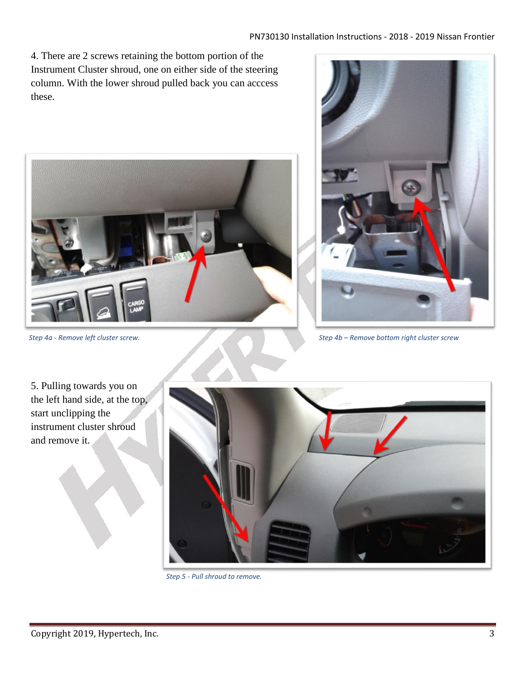4. There are 2 screws retaining the bottom portion of the Instrument Cluster shroud, one on either side of the steering column. With the lower shroud pulled back you can acccess these.





*Step 4a - Remove left cluster screw. Step 4b – Remove bottom right cluster screw*

5. Pulling towards you on the left hand side, at the top, start unclipping the instrument cluster shroud and remove it.

![](_page_2_Picture_7.jpeg)

*Step 5 - Pull shroud to remove.*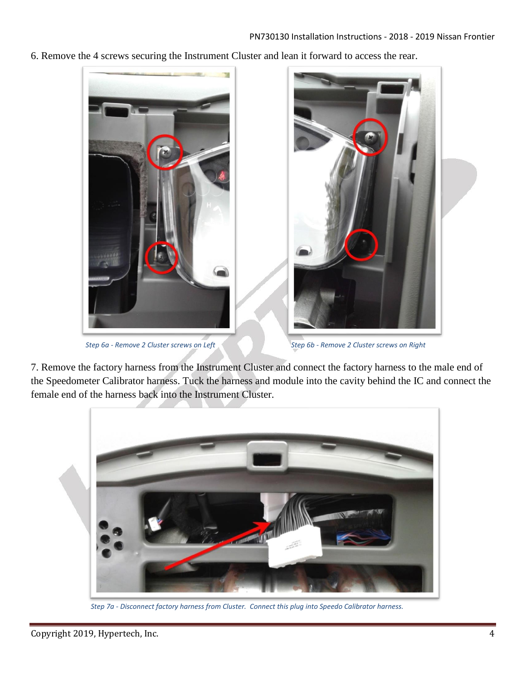6. Remove the 4 screws securing the Instrument Cluster and lean it forward to access the rear.

![](_page_3_Picture_2.jpeg)

*Step 6a - Remove 2 Cluster screws on Left Step 6b - Remove 2 Cluster screws on Right*

7. Remove the factory harness from the Instrument Cluster and connect the factory harness to the male end of the Speedometer Calibrator harness. Tuck the harness and module into the cavity behind the IC and connect the female end of the harness back into the Instrument Cluster.

![](_page_3_Picture_6.jpeg)

*Step 7a - Disconnect factory harness from Cluster. Connect this plug into Speedo Calibrator harness.*